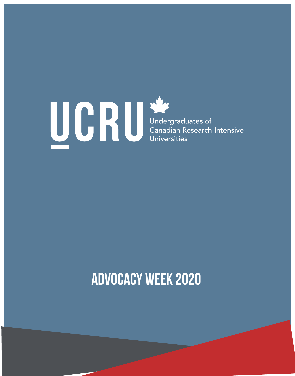# **Advocacy Week 2020**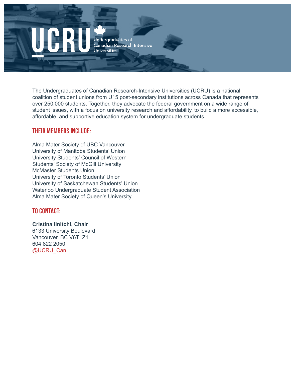

The Undergraduates of Canadian Research-Intensive Universities (UCRU) is a national coalition of student unions from U15 post-secondary institutions across Canada that represents over 250,000 students. Together, they advocate the federal government on a wide range of student issues, with a focus on university research and affordability, to build a more accessible, affordable, and supportive education system for undergraduate students.

#### Their members include:

Alma Mater Society of UBC Vancouver University of Manitoba Students' Union University Students' Council of Western Students' Society of McGill University McMaster Students Union University of Toronto Students' Union University of Saskatchewan Students' Union Waterloo Undergraduate Student Association Alma Mater Society of Queen's University

#### To contact:

**Cristina Ilnitchi, Chair** 6133 University Boulevard Vancouver, BC V6T1Z1 604 822 2050 @UCRU\_Can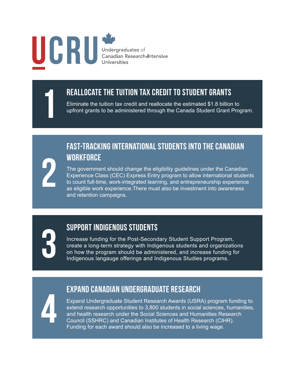# UCRU Undergraduates of<br>Canadian Research-Intensive<br>Universities

2

### 1 reallocate the tuition tax credit to student grants

Eliminate the tuition tax credit and reallocate the estimated \$1.8 billion to upfront grants to be administered through the Canada Student Grant Program.

#### fast-tracking international students into the canadian **WORKFORCE**

The government should change the eligibility guidelines under the Canadian Experience Class (CEC) Express Entry program to allow international students to count full-time, work-integrated learning, and entrepreneurship experience as eligible work experience.There must also be investment into awareness and retention campaigns.

## support indigenous students

Increase funding for the Post-Secondary Student Support Program, create a long-term strategy with Indigenous students and organizations **SUPPORT INDIGENOUS STUDENTS**<br>Increase funding for the Post-Secondary Student Support Program,<br>create a long-term strategy with Indigenous students and organizations<br>on how the program should be administered, and increase

#### expand canadian undergraduate research

Expand Undergraduate Student Research Awards (USRA) program funding to extend research opportunities to 3,800 students in social sciences, humanities, and health research under the Social Sciences and Humanities Research Expand Undergraduate Student Research Awards (USRA) program fur<br>extend research opportunities to 3,800 students in social sciences, hun<br>and health research under the Social Sciences and Humanities Resear<br>Council (SSHRC) an Funding for each award should also be increased to a living wage.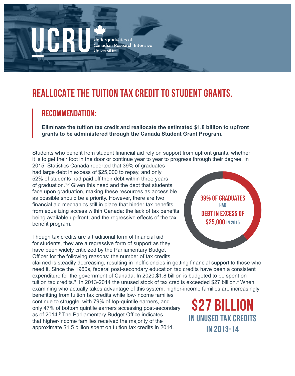# **REALLOCATE THE TUITION TAX CREDIT TO STUDENT GRANTS.**

#### REcommendation:

**Eliminate the tuition tax credit and reallocate the estimated \$1.8 billion to upfront grants to be administered through the Canada Student Grant Program.**

Students who benefit from student financial aid rely on support from upfront grants, whether it is to get their foot in the door or continue year to year to progress through their degree. In

2015, Statistics Canada reported that 39% of graduates had large debt in excess of \$25,000 to repay, and only 52% of students had paid off their debt within three years of graduation.<sup>1,2</sup> Given this need and the debt that students face upon graduation, making these resources as accessible as possible should be a priority. However, there are two financial aid mechanics still in place that hinder tax benefits from equalizing access within Canada: the lack of tax benefits being available up-front, and the regressive effects of the tax benefit program.

Though tax credits are a traditional form of financial aid for students, they are a regressive form of support as they have been widely criticized by the Parliamentary Budget Officer for the following reasons: the number of tax credits

39% of GRADUATES **HAD** debt in excess of \$25,000 IN 2015

claimed is steadily decreasing, resulting in inefficiencies in getting financial support to those who need it. Since the 1960s, federal post-secondary education tax credits have been a consistent expenditure for the government of Canada. In 2020,\$1.8 billion is budgeted to be spent on tuition tax credits.<sup>3</sup> In 2013-2014 the unused stock of tax credits exceeded \$27 billion.<sup>4</sup> When examining who actually takes advantage of this system, higher-income families are increasingly

benefitting from tuition tax credits while low-income families continue to struggle, with 79% of top-quintile earners, and only 47% of bottom quintile earners accessing post-secondary as of 2014.<sup>5</sup> The Parliamentary Budget Office indicates that higher-income families received the majority of the approximate \$1.5 billion spent on tuition tax credits in 2014.

\$27 billion in unused tax credits in 2013-14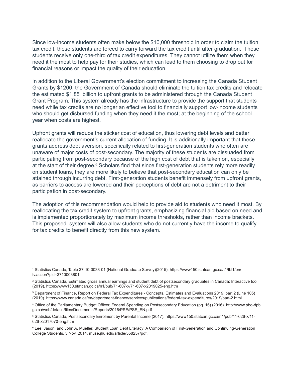Since low-income students often make below the \$10,000 threshold in order to claim the tuition tax credit, these students are forced to carry forward the tax credit until after graduation. These students receive only one-third of tax credit expenditures. They cannot utilize them when they need it the most to help pay for their studies, which can lead to them choosing to drop out for financial reasons or impact the quality of their education.

In addition to the Liberal Government's election commitment to increasing the Canada Student Grants by \$1200, the Government of Canada should eliminate the tuition tax credits and relocate the estimated \$1.85 billion to upfront grants to be administered through the Canada Student Grant Program. This system already has the infrastructure to provide the support that students need while tax credits are no longer an effective tool to financially support low-income students who should get disbursed funding when they need it the most; at the beginning of the school year when costs are highest.

Upfront grants will reduce the sticker cost of education, thus lowering debt levels and better reallocate the government's current allocation of funding. It is additionally important that these grants address debt aversion, specifically related to first-generation students who often are unaware of major costs of post-secondary. The majority of these students are dissuaded from participating from post-secondary because of the high cost of debt that is taken on, especially at the start of their degree.<sup>6</sup> Scholars find that since first-generation students rely more readily on student loans, they are more likely to believe that post-secondary education can only be attained through incurring debt. First-generation students benefit immensely from upfront grants, as barriers to access are lowered and their perceptions of debt are not a detriment to their participation in post-secondary.

The adoption of this recommendation would help to provide aid to students who need it most. By reallocating the tax credit system to upfront grants, emphasizing financial aid based on need and is implemented proportionately by maximum income thresholds, rather than income brackets. This proposed system will also allow students who do not currently have the income to qualify for tax credits to benefit directly from this new system.

<sup>1</sup> Statistics Canada, Table 37-10-0038-01 (National Graduate Survey)(2015). https://www150.statcan.gc.ca/t1/tbl1/en/ tv.action?pid=3710003801

<sup>2</sup> Statistics Canada, Estimated gross annual earnings and student debt of postsecondary graduates in Canada: Interactive tool (2019). https://www150.statcan.gc.ca/n1/pub/71-607-x/71-607-x2019025-eng.htm

<sup>3</sup> Department of Finance, Report on Federal Tax Expenditures - Concepts, Estimates and Evaluations 2019: part 2 (Line 105) (2019). https://www.canada.ca/en/department-finance/services/publications/federal-tax-expenditures/2019/part-2.html

<sup>4</sup> Office of the Parliamentary Budget Officer, Federal Spending on Postsecondary Education (pg. 16) (2016). http://www.pbo-dpb. gc.ca/web/default/files/Documents/Reports/2016/PSE/PSE\_EN.pdf

<sup>5</sup> Statistics Canada, Postsecondary Enrolment by Parental Income (2017). https://www150.statcan.gc.ca/n1/pub/11-626-x/11- 626-x2017070-eng.htm

<sup>6</sup> Lee, Jason, and John A. Mueller. Student Loan Debt Literacy: A Comparison of First-Generation and Continuing-Generation College Students. 3 Nov. 2014, muse.jhu.edu/article/558257/pdf.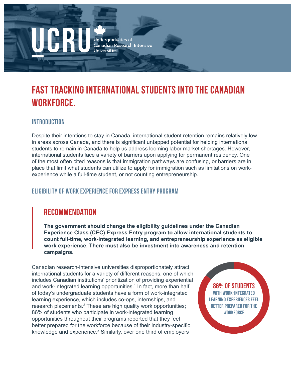# **FAST TRACKING INTERNATIONAL STUDENTS INTO THE CANADIAN WORKFORCE.**

#### INTRODUCTION

Despite their intentions to stay in Canada, international student retention remains relatively low in areas across Canada, and there is significant untapped potential for helping international students to remain in Canada to help us address looming labor market shortages. However, international students face a variety of barriers upon applying for permanent residency. One of the most often cited reasons is that immigration pathways are confusing, or barriers are in place that limit what students can utilize to apply for immigration such as limitations on workexperience while a full-time student, or not counting entrepreneurship.

#### Eligibility of Work Experience for Express Entry Program

#### RECOMMENDATION

**The government should change the eligibility guidelines under the Canadian Experience Class (CEC) Express Entry program to allow international students to count full-time, work-integrated learning, and entrepreneurship experience as eligible work experience. There must also be investment into awareness and retention campaigns.**

Canadian research-intensive universities disproportionately attract international students for a variety of different reasons, one of which includes Canadian institutions' prioritization of providing experiential and work-integrated learning opportunities.<sup>1</sup> In fact, more than half of today's undergraduate students have a form of work-integrated learning experience, which includes co-ops, internships, and research placements.<sup>2</sup> These are high quality work opportunities; 86% of students who participate in work-integrated learning opportunities throughout their programs reported that they feel better prepared for the workforce because of their industry-specific knowledge and experience.<sup>3</sup> Similarly, over one third of employers

86% of students with work-integrated learning experiences feel better prepared for the **WORKFORCE**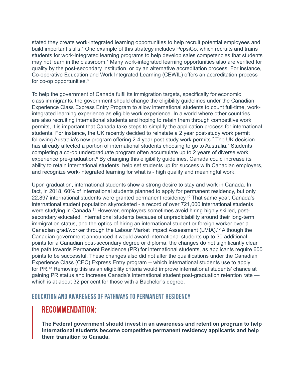stated they create work-integrated learning opportunities to help recruit potential employees and build important skills.<sup>4</sup> One example of this strategy includes PepsiCo, which recruits and trains students for work-integrated learning programs to help develop sales competencies that students may not learn in the classroom.<sup>5</sup> Many work-integrated learning opportunities also are verified for quality by the post-secondary institution, or by an alternative accreditation process. For instance, Co-operative Education and Work Integrated Learning (CEWIL) offers an accreditation process for co-op opportunities.<sup>6</sup>

To help the government of Canada fulfil its immigration targets, specifically for economic class immigrants, the government should change the eligibility guidelines under the Canadian Experience Class Express Entry Program to allow international students to count full-time, workintegrated learning experience as eligible work experience. In a world where other countries are also recruiting international students and hoping to retain them through competitive work permits, it is important that Canada take steps to simplify the application process for international students. For instance, the UK recently decided to reinstate a 2 year post-study work permit following Australia's new program offering 2-4 year post-study work permits.7 The UK decision has already affected a portion of international students choosing to go to Australia.<sup>8</sup> Students completing a co-op undergraduate program often accumulate up to 2 years of diverse work experience pre-graduation.<sup>9</sup> By changing this eligibility guidelines, Canada could increase its ability to retain international students, help set students up for success with Canadian employers, and recognize work-integrated learning for what is - high quality and meaningful work.

Upon graduation, international students show a strong desire to stay and work in Canada. In fact, in 2018, 60% of international students planned to apply for permanent residency, but only 22,897 international students were granted permanent residency.<sup>10</sup> That same year, Canada's international student population skyrocketed - a record of over 721,000 international students were studying in Canada.<sup>11</sup> However, employers sometimes avoid hiring highly skilled, postsecondary educated, international students because of unpredictability around their long-term immigration status, and the optics of hiring an international student or foreign worker over a Canadian grad/worker through the Labour Market Impact Assessment (LMIA).<sup>12</sup> Although the Canadian government announced it would award international students up to 30 additional points for a Canadian post-secondary degree or diploma, the changes do not significantly clear the path towards Permanent Residence (PR) for international students, as applicants require 600 points to be successful. These changes also did not alter the qualifications under the Canadian Experience Class (CEC) Express Entry program -- which international students use to apply for PR.13 Removing this as an eligibility criteria would improve international students' chance at gaining PR status and increase Canada's international student post-graduation retention rate which is at about 32 per cent for those with a Bachelor's degree.

#### Education and Awareness of Pathways to Permanent Residency

#### RECOMMENDATION:

**The Federal government should invest in an awareness and retention program to help international students become competitive permanent residency applicants and help them transition to Canada.**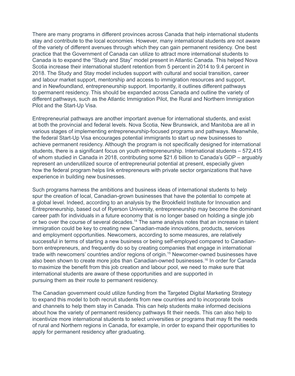There are many programs in different provinces across Canada that help international students stay and contribute to the local economies. However, many international students are not aware of the variety of different avenues through which they can gain permanent residency. One best practice that the Government of Canada can utilize to attract more international students to Canada is to expand the "Study and Stay" model present in Atlantic Canada. This helped Nova Scotia increase their international student retention from 5 percent in 2014 to 9.4 percent in 2018. The Study and Stay model includes support with cultural and social transition, career and labour market support, mentorship and access to immigration resources and support, and in Newfoundland, entrepreneurship support. Importantly, it outlines different pathways to permanent residency. This should be expanded across Canada and outline the variety of different pathways, such as the Atlantic Immigration Pilot, the Rural and Northern Immigration Pilot and the Start-Up Visa.

Entrepreneurial pathways are another important avenue for international students, and exist at both the provincial and federal levels. Nova Scotia, New Brunswick, and Manitoba are all in various stages of implementing entrepreneurship-focused programs and pathways. Meanwhile, the federal Start-Up Visa encourages potential immigrants to start up new businesses to achieve permanent residency. Although the program is not specifically designed for international students, there is a significant focus on youth entrepreneurship. International students – 572,415 of whom studied in Canada in 2018, contributing some \$21.6 billion to Canada's GDP – arguably represent an underutilized source of entrepreneurial potential at present, especially given how the federal program helps link entrepreneurs with private sector organizations that have experience in building new businesses.

Such programs harness the ambitions and business ideas of international students to help spur the creation of local, Canadian-grown businesses that have the potential to compete at a global level. Indeed, according to an analysis by the Brookfield Institute for Innovation and Entrepreneurship, based out of Ryerson University, entrepreneurship may become the dominant career path for individuals in a future economy that is no longer based on holding a single job or two over the course of several decades.<sup>14</sup> The same analysis notes that an increase in talent immigration could be key to creating new Canadian-made innovations, products, services and employment opportunities. Newcomers, according to some measures, are relatively successful in terms of starting a new business or being self-employed compared to Canadianborn entrepreneurs, and frequently do so by creating companies that engage in international trade with newcomers' countries and/or regions of origin.15 Newcomer-owned businesses have also been shown to create more jobs than Canadian-owned businesses.16 In order for Canada to maximize the benefit from this job creation and labour pool, we need to make sure that international students are aware of these opportunities and are supported in pursuing them as their route to permanent residency.

The Canadian government could utilize funding from the Targeted Digital Marketing Strategy to expand this model to both recruit students from new countries and to incorporate tools and channels to help them stay in Canada. This can help students make informed decisions about how the variety of permanent residency pathways fit their needs. This can also help to incentivize more international students to select universities or programs that may fit the needs of rural and Northern regions in Canada, for example, in order to expand their opportunities to apply for permanent residency after graduating.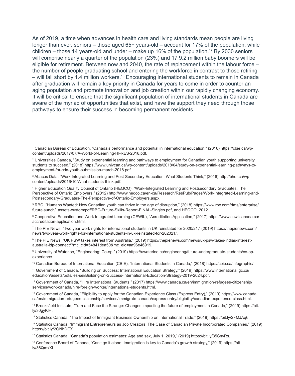As of 2019, a time when advances in health care and living standards mean people are living longer than ever, seniors – those aged 65+ years-old – account for 17% of the population, while children – those 14 years-old and under – make up 16% of the population.<sup>17</sup> By 2030 seniors will comprise nearly a quarter of the population (23%) and 17 9.2 million baby boomers will be eligible for retirement. Between now and 2040, the rate of replacement within the labour force – the number of people graduating school and entering the workforce in contrast to those retiring – will fall short by 1.4 million workers.<sup>18</sup> Encouraging international students to remain in Canada after graduation will remain a key priority in Canada for years to come in order to counter an aging population and promote innovation and job creation within our rapidly changing economy. It will be critical to ensure that the significant population of international students in Canada are aware of the myriad of opportunities that exist, and have the support they need through those pathways to ensure their success in becoming permanent residents.

6 Cooperative Education and Work Integrated Learning (CEWIL), "Acreditation Application," (2017) https://www.cewilcanada.ca/ accreditation-application.html.

7 The PIE News, "Two year work rights for international students in UK reinstated for 2020/21," (2019) https://thepienews.com/ news/two-year-work-rights-for-international-students-in-uk-reinstated-for-202021/.

8 The PIE News, "UK PSW takes interest from Australia," (2019) https://thepienews.com/news/uk-psw-takes-indias-interestaustralia-idp-connect/?mc\_cid=54841dea50&mc\_eid=aa96e46919.

9 University of Waterloo, "Engineering: Co-op," (2019) https://uwaterloo.ca/engineering/future-undergraduate-students/co-opexperience.

12 Government of Canada, "Hire International Students," (2017) https://www.canada.ca/en/immigration-refugees-citizenship/ services/work-canada/hire-foreign-worker/international-students.html.

<sup>1</sup> Canadian Bureau of Education, "Canada's performance and potential in international education," (2016) https://cbie.ca/wpcontent/uploads/2017/07/A-World-of-Learning-HI-RES-2016.pdf.

<sup>2</sup> Universities Canada, "Study on experiential learning and pathways to employment for Canadian youth supporting university students to succeed," (2018) https://www.univcan.ca/wp-content/uploads/2018/04/study-on-experiential-learning-pathways-toemployment-for-cdn-youth-submission-march-2018.pdf.

<sup>3</sup> Abacus Data, "Work Integrated Learning and Post-Secondary Education: What Students Think," (2016) http://bher.ca/wpcontent/uploads/2016/10/What-students-think.pdf.

<sup>4</sup> Higher Education Quality Council of Ontario (HEQCO), "Work-Integrated Learning and Postsecondary Graduates: The Perspective of Ontario Employers," (2012) http://www.heqco.ca/en-ca/Research/ResPub/Pages/Work-Integrated-Learning-and-Postsecondary-Graduates-The-Perspective-of-Ontario-Employers.aspx.

<sup>5</sup> RBC. "Humans Wanted: How Canadian youth can thrive in the age of disruption," (2018) https://www.rbc.com/dms/enterprise/ futurelaunch/\_assets-custom/pdf/RBC-Future-Skills-Report-FINAL-Singles.pdf, and HEQCO, 2012.

<sup>10</sup> Canadian Bureau of International Education (CBIE), "International Students in Canada," (2018) https://cbie.ca/infographic/.

<sup>11</sup> Government of Canada, "Building on Success: International Education Strategy," (2019) https://www.international.gc.ca/ education/assets/pdfs/ies-sei/Building-on-Success-International-Education-Strategy-2019-2024.pdf.

<sup>13</sup> Government of Canada, "Eligibility to apply for the Canadian Experience Class (Express Entry)," (2019) https://www.canada. ca/en/immigration-refugees-citizenship/services/immigrate-canada/express-entry/eligibility/canadian-experience-class.html.

<sup>14</sup> Brooksfield Institute, "Turn and Face the Strange: Changes impacting the future of employment in Canada," (2019) https://bit. ly/30gyKlH.

<sup>15</sup> Statistics Canada, "The Impact of Immigrant Business Ownership on International Trade," (2019) https://bit.ly/2FMJAq6.

<sup>16</sup> Statistics Canada, "Immigrant Entrepreneurs as Job Creators: The Case of Canadian Private Incorporated Companies," (2019) https://bit.ly/2QNhDEX.

<sup>17</sup> Statistics Canada, "Canada's population estimates: Age and sex, July 1, 2019," (2019) https://bit.ly/35SnvRs.

<sup>18</sup> Conference Board of Canada, "Can't go it alone: Immigration is key to Canada's growth strategy," (2019) https://bit. ly/36QmxXl.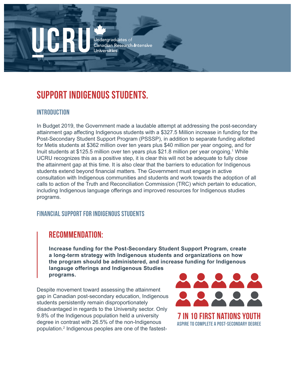# **SUPPORT INDIGENOUS STUDENTS.**

#### INTRODUCTION

In Budget 2019, the Government made a laudable attempt at addressing the post-secondary attainment gap affecting Indigenous students with a \$327.5 Million increase in funding for the Post-Secondary Student Support Program (PSSSP), in addition to separate funding allotted for Metis students at \$362 million over ten years plus \$40 million per year ongoing, and for Inuit students at \$125.5 million over ten years plus \$21.8 million per year ongoing.<sup>1</sup> While UCRU recognizes this as a positive step, it is clear this will not be adequate to fully close the attainment gap at this time. It is also clear that the barriers to education for Indigenous students extend beyond financial matters. The Government must engage in active consultation with Indigenous communities and students and work towards the adoption of all calls to action of the Truth and Reconciliation Commission (TRC) which pertain to education, including Indigenous language offerings and improved resources for Indigenous studies programs.

#### Financial Support for Indigenous Students

#### RECOMMENDATION:

**Increase funding for the Post-Secondary Student Support Program, create a long-term strategy with Indigenous students and organizations on how the program should be administered, and increase funding for Indigenous langauge offerings and Indigenous Studies programs.**

Despite movement toward assessing the attainment gap in Canadian post-secondary education, Indigenous students persistently remain disproportionately disadvantaged in regards to the University sector. Only 9.8% of the Indigenous population held a university degree in contrast with 26.5% of the non-Indigenous population.2 Indigenous peoples are one of the fastest-



aspire to complete a post-secondary degree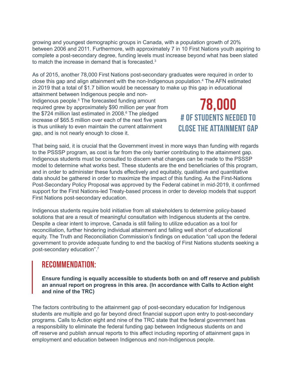growing and youngest demographic groups in Canada, with a population growth of 20% between 2006 and 2011. Furthermore, with approximately 7 in 10 First Nations youth aspiring to complete a post-secondary degree, funding levels must increase beyond what has been slated to match the increase in demand that is forecasted.<sup>3</sup>

As of 2015, another 78,000 First Nations post-secondary graduates were required in order to close this gap and align attainment with the non-Indigenous population.<sup>4</sup> The AFN estimated in 2019 that a total of \$1.7 billion would be necessary to make up this gap in educational

attainment between Indigenous people and non-Indigenous people.<sup>5</sup> The forecasted funding amount required grew by approximately \$90 million per year from the \$724 million last estimated in 2008.<sup>6</sup> The pledged increase of \$65.5 million over each of the next five years is thus unlikely to even maintain the current attainment gap, and is not nearly enough to close it.

78,000 # of STUDENTS NEEDED TO CLOSE THE ATTAINMENT GAP

That being said, it is crucial that the Government invest in more ways than funding with regards to the PSSSP program, as cost is far from the only barrier contributing to the attainment gap. Indigenous students must be consulted to discern what changes can be made to the PSSSP model to determine what works best. These students are the end beneficiaries of this program, and in order to administer these funds effectively and equitably, qualitative and quantitative data should be gathered in order to maximize the impact of this funding. As the First-Nations Post-Secondary Policy Proposal was approved by the Federal cabinet in mid-2019, it confirmed support for the First Nations-led Treaty-based process in order to develop models that support First Nations post-secondary education.

Indigenous students require bold initiative from all stakeholders to determine policy-based solutions that are a result of meaningful consultation with Indigenous students at the centre. Despite a clear intent to improve, Canada is still failing to utilize education as a tool for reconciliation, further hindering individual attainment and falling well short of educational equity. The Truth and Reconciliation Commission's findings on education "call upon the federal government to provide adequate funding to end the backlog of First Nations students seeking a post-secondary education".7

#### RECOMMENDATION:

**Ensure funding is equally accessible to students both on and off reserve and publish an annual report on progress in this area. (In accordance with Calls to Action eight and nine of the TRC)**

The factors contributing to the attainment gap of post-secondary education for Indigenous students are multiple and go far beyond direct financial support upon entry to post-secondary programs. Calls to Action eight and nine of the TRC state that the federal government has a responsibility to eliminate the federal funding gap between Indigneous students on and off reserve and publish annual reports to this affect including reporting of attainment gaps in employment and education between Indigenous and non-Indigenous people.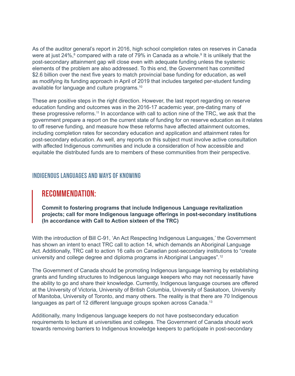As of the auditor general's report in 2016, high school completion rates on reserves in Canada were at just 24%, $^8$  compared with a rate of 79% in Canada as a whole. $^9$  It is unlikely that the post-secondary attainment gap will close even with adequate funding unless the systemic elements of the problem are also addressed. To this end, the Government has committed \$2.6 billion over the next five years to match provincial base funding for education, as well as modifying its funding approach in April of 2019 that includes targeted per-student funding available for language and culture programs.10

These are positive steps in the right direction. However, the last report regarding on reserve education funding and outcomes was in the 2016-17 academic year, pre-dating many of these progressive reforms.<sup>11</sup> In accordance with call to action nine of the TRC, we ask that the government prepare a report on the current state of funding for on reserve education as it relates to off reserve funding, and measure how these reforms have affected attainment outcomes, including completion rates for secondary education and application and attainment rates for post-secondary education. As well, any reports on this subject must involve active consultation with affected Indigenous communities and include a consideration of how accessible and equitable the distributed funds are to members of these communities from their perspective.

#### Indigenous Languages and Ways of Knowing

#### RECOMMENDATION:

**Commit to fostering programs that include Indigenous Language revitalization projects; call for more Indigenous language offerings in post-secondary institutions (In accordance with Call to Action sixteen of the TRC)** 

With the introduction of Bill C-91, 'An Act Respecting Indigenous Languages,' the Government has shown an intent to enact TRC call to action 14, which demands an Aboriginal Language Act. Additionally, TRC call to action 16 calls on Canadian post-secondary institutions to "create university and college degree and diploma programs in Aboriginal Languages".12

The Government of Canada should be promoting Indigenous language learning by establishing grants and funding structures to Indigenous language keepers who may not necessarily have the ability to go and share their knowledge. Currently, Indigenous language courses are offered at the University of Victoria, University of British Columbia, University of Saskatoon, University of Manitoba, University of Toronto, and many others. The reality is that there are 70 Indigenous languages as part of 12 different language groups spoken across Canada.<sup>13</sup>

Additionally, many Indigenous language keepers do not have postsecondary education requirements to lecture at universities and colleges. The Government of Canada should work towards removing barriers to Indigenous knowledge keepers to participate in post-secondary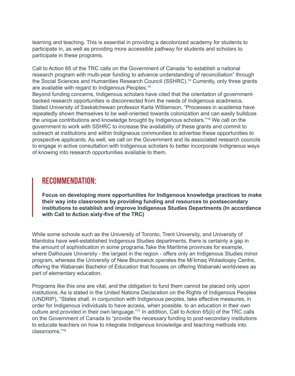learning and teaching. This is essential in providing a decolonized academy for students to participate in, as well as providing more accessible pathway for students and scholars to participate in these programs.

Call to Action 65 of the TRC calls on the Government of Canada "to establish a national research program with multi-year funding to advance understanding of reconciliation" through the Social Sciences and Humanities Research Council (SSHRC).<sup>14</sup> Currently, only three grants are available with regard to Indigenous Peoples.<sup>15</sup>

Beyond funding concerns, Indigenous scholars have cited that the orientation of governmentbacked research opportunities is disconnected from the needs of Indigenous acadmeics. Stated University of Saskatchewan professor Karla Williamson, "Processes in academia have repeatedly shown themselves to be well-oriented towards colonization and can easily bulldoze the unique contributions and knowledge brought by Indigenous scholars."16 We call on the government to work with SSHRC to increase the availability of these grants and commit to outreach at institutions and within Indigneous communities to advertise these opportunities to prospective applicants. As well, we call on the Government and its associated research councils to engage in active consultation with Indigenous scholars to better incorporate Indigneous ways of knowing into research opportunities available to them.

#### RECOMMENDATION:

**Focus on developing more opportunities for Indigenous knowledge practices to make their way into classrooms by providing funding and resources to postsecondary institutions to establish and improve Indigenous Studies Departments (In accordance with Call to Action sixty-five of the TRC)**

While some schools such as the University of Toronto, Trent University, and University of Manitoba have well-established Indigenous Studies departments, there is certainly a gap in the amount of sophistication in some programs.Take the Maritime provinces for example, where Dalhousie University - the largest in the region - offers only an Indigenous Studies minor program, whereas the University of New Brunswick operates the Mi'kmaq Wolastoqey Centre, offering the Wabanaki Bachelor of Education that focuses on offering Wabanaki worldviews as part of elementary education.

Programs like this one are vital, and the obligation to fund them cannot be placed only upon institutions. As is stated in the United Nations Declaration on the Rights of Indigenous Peoples (UNDRIP), "States shall, in conjunction with Indigenous peoples, take effective measures, in order for Indigenous individuals to have access, when possible, to an education in their own culture and provided in their own language."17 In addition, Call to Action 65(ii) of the TRC calls on the Government of Canada to "provide the necessary funding to post-secondary institutions to educate teachers on how to integrate Indigenous knowledge and teaching methods into classrooms."18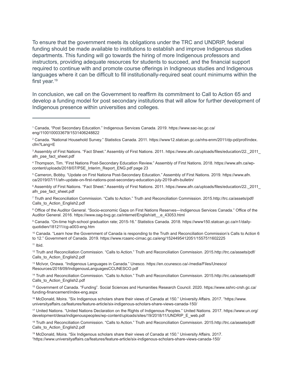To ensure that the government meets its obligations under the TRC and UNDRIP, federal funding should be made available to institutions to establish and improve Indigenous studies departments. This funding will go towards the hiring of more Indigenous professors and instructors, providing adequate resources for students to succeed, and the financial support required to continue with and promote course offerings in Indigneous studies and Indigenous languages where it can be difficult to fill institutionally-required seat count minimums within the first year.<sup>19</sup>

In conclusion, we call on the Government to reaffirm its commitment to Call to Action 65 and develop a funding model for post secondary institutions that will allow for further development of Indigenous presence within universities and colleges.

10 Canada. "Learn how the Government of Canada is responding to the Truth and Reconciliation Commission's Calls to Action 6 to 12." Government of Canada. 2019. https://www.rcaanc-cirnac.gc.ca/eng/1524495412051/1557511602225

 $11$  Ibid.

12 Truth and Reconciliation Commission. "Calls to Action." Truth and Reconciliation Commission. 2015.http://trc.ca/assets/pdf/ Calls\_to\_Action\_English2.pdf

13 McIvor, Onawa. "Indigenous Languages in Canada." Unesco. https://en.ccunesco.ca/-/media/Files/Unesco/ Resources/2018/09/IndigenousLanguagesCCUNESCO.pdf

<sup>18</sup> Truth and Reconciliation Commission. "Calls to Action." Truth and Reconciliation Commission. 2015.http://trc.ca/assets/pdf/ Calls\_to\_Action\_English2.pdf

19 McDonald, Moira. "Six Indigenous scholars share their views of Canada at 150." University Affairs. 2017. "https://www.universityaffairs.ca/features/feature-article/six-indigenous-scholars-share-views-canada-150/

<sup>1</sup> Canada, "Post Secondary Education." Indigenous Services Canada. 2019. https://www.sac-isc.gc.ca/ eng/1100100033679/1531406248822

<sup>2</sup> Canada. "National Household Survey." Statistics Canada. 2011. https://www12.statcan.gc.ca/nhs-enm/2011/dp-pd/prof/index. cfm?Lang=E

<sup>3</sup> Assembly of First Nations. "Fact Sheet." Assembly of First Nations. 2011. https://www.afn.ca/uploads/files/education/22.\_2011\_ afn\_pse\_fact\_sheet.pdf

<sup>4</sup> Thompson, Tim. "First Nations Post-Secondary Education Review." Assembly of First Nations. 2018. https://www.afn.ca/wpcontent/uploads/2018/07/PSE\_Interim\_Report\_ENG.pdf page 23

<sup>5</sup> Cameron, Bobby. "Update on First Nationa Post-Secondary Education." Assembly of First Nations. 2019. https://www.afn. ca/2019/07/11/afn-update-on-first-nations-post-secondary-education-july-2019-afn-bulletin/

 $^6$  Assembly of First Nations. "Fact Sheet." Assembly of First Nations. 2011. https://www.afn.ca/uploads/files/education/22.\_2011\_ afn\_pse\_fact\_sheet.pdf

<sup>7</sup> Truth and Reconciliation Commission. "Calls to Action." Truth and Reconciliation Commission. 2015.http://trc.ca/assets/pdf/ Calls\_to\_Action\_English2.pdf

<sup>&</sup>lt;sup>8</sup> Office of the Auditor General. "Socio-economic Gaps on First Nations Reserves—Indigenous Services Canada." Office of the Auditor General. 2016. https://www.oag-bvg.gc.ca/internet/English/att\_\_e\_43053.html

<sup>9</sup> Canada. "On-time high-school graduation rate; 2015-16." Statistics Canada. 2018. https://www150.statcan.gc.ca/n1/dailyquotidien/181211/cg-a003-eng.htm

<sup>14</sup> Truth and Reconciliation Commission. "Calls to Action." Truth and Reconciliation Commission. 2015.http://trc.ca/assets/pdf/ Calls\_to\_Action\_English2.pdf

<sup>15</sup> Government of Canada. "Funding". Social Sciences and Humanities Research Council. 2020. https://www.sshrc-crsh.gc.ca/ funding-financement/index-eng.aspx

<sup>16</sup> McDonald, Moira. "Six Indigenous scholars share their views of Canada at 150." University Affairs. 2017. "https://www. universityaffairs.ca/features/feature-article/six-indigenous-scholars-share-views-canada-150/

<sup>17</sup> United Nations. "United Nations Declaration on the Rights of Indigenous Peoples." United Nations. 2017. https://www.un.org/ development/desa/indigenouspeoples/wp-content/uploads/sites/19/2018/11/UNDRIP\_E\_web.pdf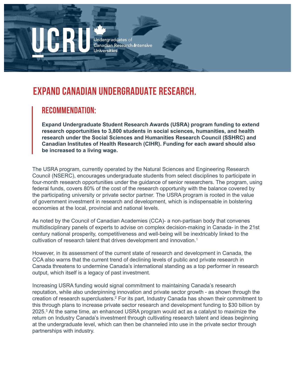# **EXPAND CANADIAN UNDERGRADUATE RESEARCH.**

#### REcommendation:

**Expand Undergraduate Student Research Awards (USRA) program funding to extend research opportunities to 3,800 students in social sciences, humanities, and health research under the Social Sciences and Humanities Research Council (SSHRC) and Canadian Institutes of Health Research (CIHR). Funding for each award should also be increased to a living wage.**

The USRA program, currently operated by the Natural Sciences and Engineering Research Council (NSERC), encourages undergraduate students from select disciplines to participate in four-month research opportunities under the guidance of senior researchers. The program, using federal funds, covers 80% of the cost of the research opportunity with the balance covered by the participating university or private sector partner. The USRA program is rooted in the value of government investment in research and development, which is indispensable in bolstering economies at the local, provincial and national levels.

As noted by the Council of Canadian Academies (CCA)- a non-partisan body that convenes multidisciplinary panels of experts to advise on complex decision-making in Canada- in the 21st century national prosperity, competitiveness and well-being will be inextricably linked to the cultivation of research talent that drives development and innovation.<sup>1</sup>

However, in its assessment of the current state of research and development in Canada, the CCA also warns that the current trend of declining levels of public and private research in Canada threatens to undermine Canada's international standing as a top performer in research output, which itself is a legacy of past investment.

Increasing USRA funding would signal commitment to maintaining Canada's research reputation, while also underpinning innovation and private sector growth - as shown through the creation of research superclusters.<sup>2</sup> For its part, Industry Canada has shown their commitment to this through plans to increase private sector research and development funding to \$30 billion by 2025.3 At the same time, an enhanced USRA program would act as a catalyst to maximize the return on Industry Canada's investment through cultivating research talent and ideas beginning at the undergraduate level, which can then be channeled into use in the private sector through partnerships with industry.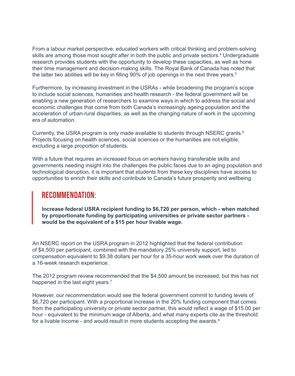From a labour market perspective, educated workers with critical thinking and problem-solving skills are among those most sought after in both the public and private sectors.<sup>4</sup> Undergraduate research provides students with the opportunity to develop these capacities, as well as hone their time management and decision-making skills. The Royal Bank of Canada has noted that the latter two abilities will be key in filling 90% of job openings in the next three years.<sup>5</sup>

Furthermore, by increasing investment in the USRAs - while broadening the program's scope to include social sciences, humanities and health research - the federal government will be enabling a new generation of researchers to examine ways in which to address the social and economic challenges that come from both Canada's increasingly ageing population and the acceleration of urban-rural disparities, as well as the changing nature of work in the upcoming era of automation.

Currently, the USRA program is only made available to students through NSERC grants.<sup>6</sup> Projects focusing on health sciences, social sciences or the humanities are not eligible, excluding a large proportion of students.

With a future that requires an increased focus on workers having transferable skills and governments needing insight into the challenges the public faces due to an aging population and technological disruption, it is important that students from these key disciplines have access to opportunities to enrich their skills and contribute to Canada's future prosperity and wellbeing.

#### RECOMMENDATION:

**Increase federal USRA recipient funding to \$6,720 per person, which - when matched by proportionate funding by participating universities or private sector partners would be the equivalent of a \$15 per hour livable wage.** 

An NSERC report on the USRA program in 2012 highlighted that the federal contribution of \$4,500 per participant, combined with the mandatory 25% university support, led to compensation equivalent to \$9.38 dollars per hour for a 35-hour work week over the duration of a 16-week research experience.

The 2012 program review recommended that the \$4,500 amount be increased, but this has not happened in the last eight years.<sup>7</sup>

However, our recommendation would see the federal government commit to funding levels of \$6,720 per participant. With a proportional increase in the 20% funding component that comes from the participating university or private sector partner, this would reflect a wage of \$15.00 per hour - equivalent to the minimum wage of Alberta, and what many experts cite as the threshold for a livable income - and would result in more students accepting the awards.<sup>8</sup>